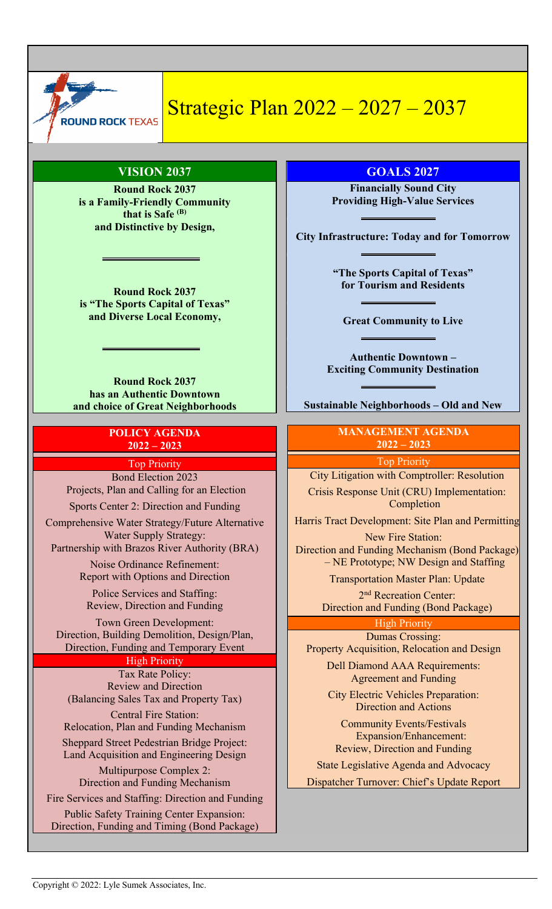

# Strategic Plan 2022 – 2027 – 2037

# **VISION 2037**

**Round Rock 2037 is a Family-Friendly Community that is Safe (B) and Distinctive by Design,**

**Round Rock 2037 is "The Sports Capital of Texas" and Diverse Local Economy,**

**Round Rock 2037 has an Authentic Downtown and choice of Great Neighborhoods**

### **POLICY AGENDA 2022 – 2023**

Top Priority

Bond Election 2023 Projects, Plan and Calling for an Election

Sports Center 2: Direction and Funding

Comprehensive Water Strategy/Future Alternative Water Supply Strategy: Partnership with Brazos River Authority (BRA)

> Noise Ordinance Refinement: Report with Options and Direction

Police Services and Staffing: Review, Direction and Funding

Town Green Development: Direction, Building Demolition, Design/Plan, Direction, Funding and Temporary Event

High Priority

Tax Rate Policy: Review and Direction (Balancing Sales Tax and Property Tax) Central Fire Station: Relocation, Plan and Funding Mechanism Sheppard Street Pedestrian Bridge Project: Land Acquisition and Engineering Design Multipurpose Complex 2: Direction and Funding Mechanism Fire Services and Staffing: Direction and Funding Public Safety Training Center Expansion: Direction, Funding and Timing (Bond Package)

**GOALS 2027**

**Financially Sound City Providing High-Value Services**

**City Infrastructure: Today and for Tomorrow**

**"The Sports Capital of Texas" for Tourism and Residents**

**Great Community to Live**

**Authentic Downtown – Exciting Community Destination**

**Sustainable Neighborhoods – Old and New**

## **MANAGEMENT AGENDA 2022 – 2023**

Top Priority

City Litigation with Comptroller: Resolution

Crisis Response Unit (CRU) Implementation: Completion

Harris Tract Development: Site Plan and Permitting

New Fire Station: Direction and Funding Mechanism (Bond Package) – NE Prototype; NW Design and Staffing

Transportation Master Plan: Update

2<sup>nd</sup> Recreation Center: Direction and Funding (Bond Package)

> High Priority Dumas Crossing:

Property Acquisition, Relocation and Design

Dell Diamond AAA Requirements: Agreement and Funding

City Electric Vehicles Preparation: Direction and Actions

Community Events/Festivals Expansion/Enhancement: Review, Direction and Funding

State Legislative Agenda and Advocacy Dispatcher Turnover: Chief's Update Report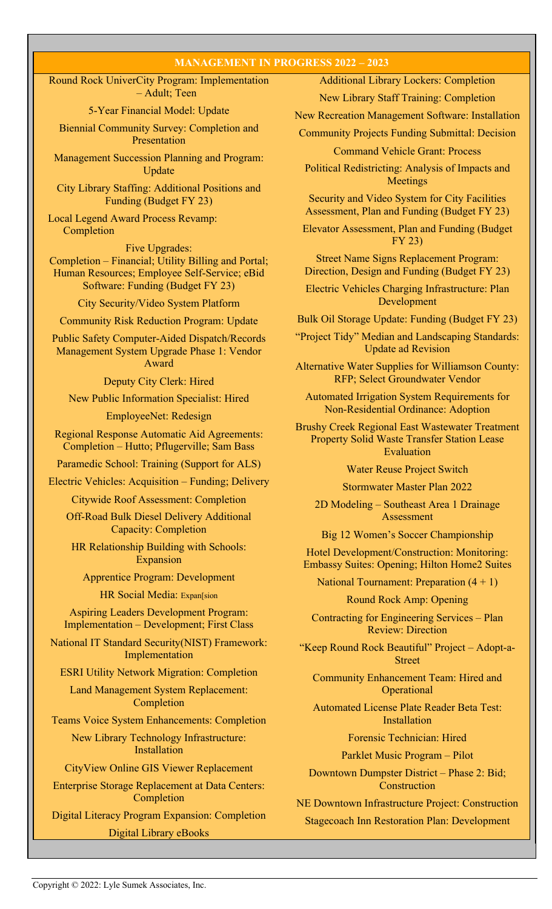#### **MANAGEMENT IN PROGRESS 2022 – 2023**

Round Rock UniverCity Program: Implementation – Adult; Teen

5-Year Financial Model: Update

Biennial Community Survey: Completion and Presentation

Management Succession Planning and Program: Update

City Library Staffing: Additional Positions and Funding (Budget FY 23)

Local Legend Award Process Revamp: Completion

Five Upgrades: Completion – Financial; Utility Billing and Portal; Human Resources; Employee Self-Service; eBid Software: Funding (Budget FY 23)

# City Security/Video System Platform

Community Risk Reduction Program: Update

Public Safety Computer-Aided Dispatch/Records Management System Upgrade Phase 1: Vendor Award

Deputy City Clerk: Hired

New Public Information Specialist: Hired

EmployeeNet: Redesign

Regional Response Automatic Aid Agreements: Completion – Hutto; Pflugerville; Sam Bass

Paramedic School: Training (Support for ALS)

Electric Vehicles: Acquisition – Funding; Delivery

Citywide Roof Assessment: Completion

Off-Road Bulk Diesel Delivery Additional Capacity: Completion

HR Relationship Building with Schools: Expansion

Apprentice Program: Development

HR Social Media: Expan[sion

Aspiring Leaders Development Program: Implementation – Development; First Class

National IT Standard Security(NIST) Framework: Implementation

ESRI Utility Network Migration: Completion

Land Management System Replacement: Completion

Teams Voice System Enhancements: Completion

New Library Technology Infrastructure: Installation

CityView Online GIS Viewer Replacement

Enterprise Storage Replacement at Data Centers: Completion

Digital Literacy Program Expansion: Completion Digital Library eBooks

Additional Library Lockers: Completion

New Library Staff Training: Completion

New Recreation Management Software: Installation

Community Projects Funding Submittal: Decision

Command Vehicle Grant: Process

Political Redistricting: Analysis of Impacts and Meetings

Security and Video System for City Facilities Assessment, Plan and Funding (Budget FY 23)

Elevator Assessment, Plan and Funding (Budget FY 23)

Street Name Signs Replacement Program: Direction, Design and Funding (Budget FY 23)

Electric Vehicles Charging Infrastructure: Plan Development

Bulk Oil Storage Update: Funding (Budget FY 23)

"Project Tidy" Median and Landscaping Standards: Update ad Revision

Alternative Water Supplies for Williamson County: RFP; Select Groundwater Vendor

Automated Irrigation System Requirements for Non-Residential Ordinance: Adoption

Brushy Creek Regional East Wastewater Treatment Property Solid Waste Transfer Station Lease Evaluation

Water Reuse Project Switch

Stormwater Master Plan 2022

2D Modeling – Southeast Area 1 Drainage Assessment

Big 12 Women's Soccer Championship

Hotel Development/Construction: Monitoring: Embassy Suites: Opening; Hilton Home2 Suites

National Tournament: Preparation (4 + 1)

Round Rock Amp: Opening

Contracting for Engineering Services – Plan Review: Direction

"Keep Round Rock Beautiful" Project – Adopt-a-Street

Community Enhancement Team: Hired and **Operational** 

Automated License Plate Reader Beta Test: Installation

Forensic Technician: Hired

Parklet Music Program – Pilot

Downtown Dumpster District – Phase 2: Bid; Construction

NE Downtown Infrastructure Project: Construction Stagecoach Inn Restoration Plan: Development